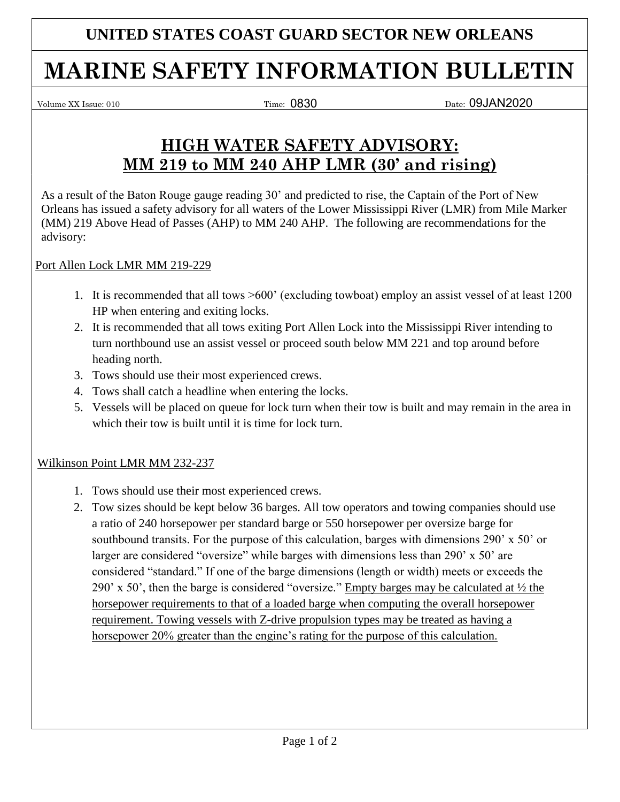### **UNITED STATES COAST GUARD SECTOR NEW ORLEANS**

# **MARINE SAFETY INFORMATION BULLETIN**

 $Volume XX Issue: 010$  Time:  $0830$ 

Date: 09JAN2020

## **HIGH WATER SAFETY ADVISORY: MM 219 to MM 240 AHP LMR (30' and rising)**

As a result of the Baton Rouge gauge reading 30' and predicted to rise, the Captain of the Port of New Orleans has issued a safety advisory for all waters of the Lower Mississippi River (LMR) from Mile Marker (MM) 219 Above Head of Passes (AHP) to MM 240 AHP. The following are recommendations for the advisory:

Port Allen Lock LMR MM 219-229

- 1. It is recommended that all tows >600' (excluding towboat) employ an assist vessel of at least 1200 HP when entering and exiting locks.
- 2. It is recommended that all tows exiting Port Allen Lock into the Mississippi River intending to turn northbound use an assist vessel or proceed south below MM 221 and top around before heading north.
- 3. Tows should use their most experienced crews.
- 4. Tows shall catch a headline when entering the locks.
- 5. Vessels will be placed on queue for lock turn when their tow is built and may remain in the area in which their tow is built until it is time for lock turn.

#### Wilkinson Point LMR MM 232-237

- 1. Tows should use their most experienced crews.
- 2. Tow sizes should be kept below 36 barges. All tow operators and towing companies should use a ratio of 240 horsepower per standard barge or 550 horsepower per oversize barge for southbound transits. For the purpose of this calculation, barges with dimensions 290' x 50' or larger are considered "oversize" while barges with dimensions less than 290' x 50' are considered "standard." If one of the barge dimensions (length or width) meets or exceeds the 290' x 50', then the barge is considered "oversize." Empty barges may be calculated at  $\frac{1}{2}$  the horsepower requirements to that of a loaded barge when computing the overall horsepower requirement. Towing vessels with Z-drive propulsion types may be treated as having a horsepower 20% greater than the engine's rating for the purpose of this calculation.